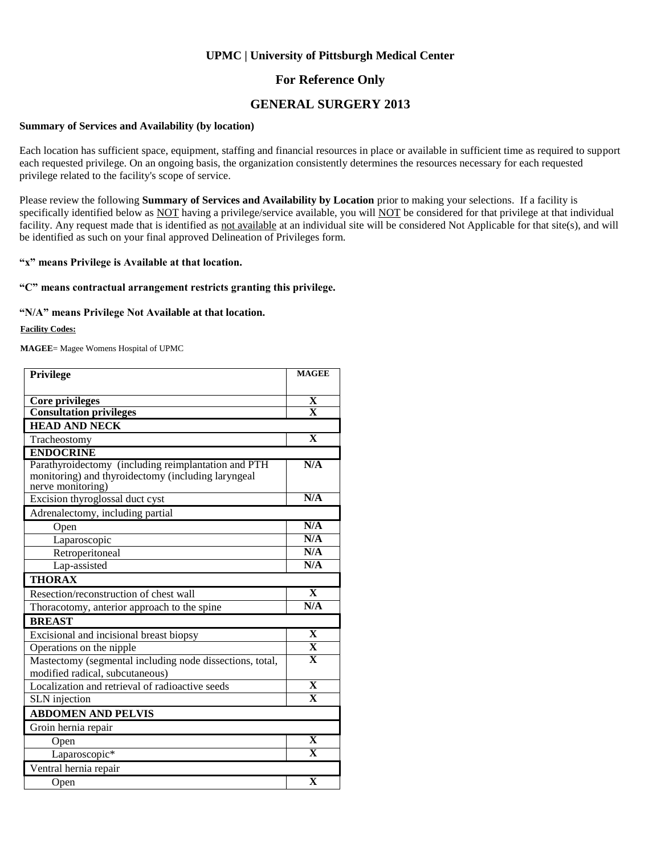#### **For Reference Only**

#### **GENERAL SURGERY 2013**

#### **Summary of Services and Availability (by location)**

Each location has sufficient space, equipment, staffing and financial resources in place or available in sufficient time as required to support each requested privilege. On an ongoing basis, the organization consistently determines the resources necessary for each requested privilege related to the facility's scope of service.

Please review the following **Summary of Services and Availability by Location** prior to making your selections. If a facility is specifically identified below as NOT having a privilege/service available, you will NOT be considered for that privilege at that individual facility. Any request made that is identified as not available at an individual site will be considered Not Applicable for that site(s), and will be identified as such on your final approved Delineation of Privileges form.

#### **"x" means Privilege is Available at that location.**

#### **"C" means contractual arrangement restricts granting this privilege.**

#### **"N/A" means Privilege Not Available at that location.**

#### **Facility Codes:**

**MAGEE**= Magee Womens Hospital of UPMC

| <b>Privilege</b>                                                                                                               | <b>MAGEE</b>            |
|--------------------------------------------------------------------------------------------------------------------------------|-------------------------|
|                                                                                                                                |                         |
| Core privileges                                                                                                                | X                       |
| <b>Consultation privileges</b>                                                                                                 | $\overline{\mathbf{x}}$ |
| <b>HEAD AND NECK</b>                                                                                                           |                         |
| Tracheostomy                                                                                                                   | $\overline{\mathbf{X}}$ |
| <b>ENDOCRINE</b>                                                                                                               |                         |
| Parathyroidectomy (including reimplantation and PTH<br>monitoring) and thyroidectomy (including laryngeal<br>nerve monitoring) | N/A                     |
| Excision thyroglossal duct cyst                                                                                                | N/A                     |
| Adrenalectomy, including partial                                                                                               |                         |
| Open                                                                                                                           | N/A                     |
| Laparoscopic                                                                                                                   | N/A                     |
| Retroperitoneal                                                                                                                | N/A                     |
| Lap-assisted                                                                                                                   | N/A                     |
| <b>THORAX</b>                                                                                                                  |                         |
| Resection/reconstruction of chest wall                                                                                         | $\mathbf{X}$            |
| Thoracotomy, anterior approach to the spine                                                                                    | N/A                     |
| <b>BREAST</b>                                                                                                                  |                         |
| Excisional and incisional breast biopsy                                                                                        | $\mathbf{X}$            |
| Operations on the nipple                                                                                                       | $\overline{\mathbf{X}}$ |
| Mastectomy (segmental including node dissections, total,                                                                       | $\overline{\mathbf{X}}$ |
| modified radical, subcutaneous)                                                                                                |                         |
| Localization and retrieval of radioactive seeds                                                                                | $\overline{\mathbf{X}}$ |
| <b>SLN</b> injection                                                                                                           | $\overline{\mathbf{x}}$ |
| <b>ABDOMEN AND PELVIS</b>                                                                                                      |                         |
| Groin hernia repair                                                                                                            |                         |
| Open                                                                                                                           | X                       |
| Laparoscopic*                                                                                                                  | $\overline{\mathbf{X}}$ |
| Ventral hernia repair                                                                                                          |                         |
| Open                                                                                                                           | $\mathbf X$             |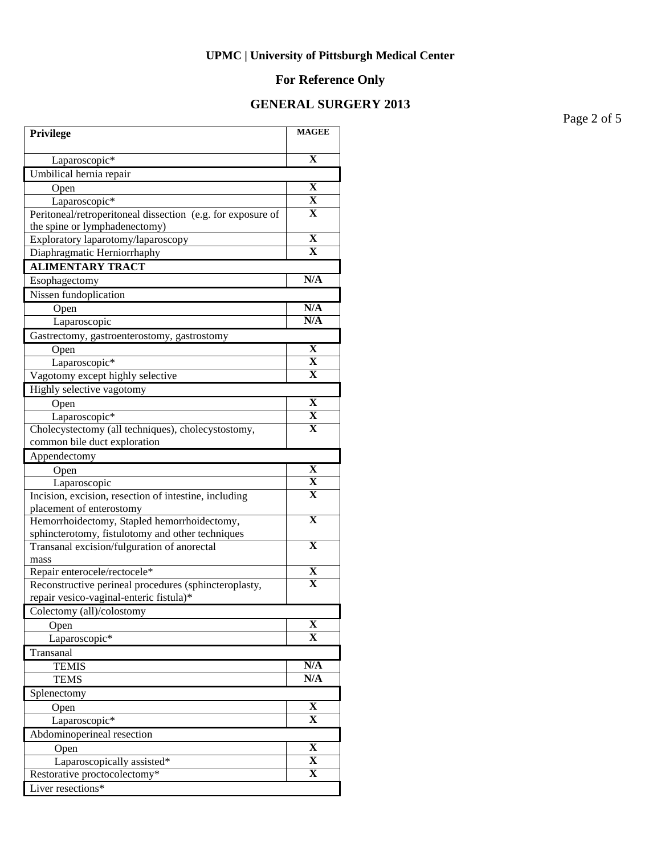# **For Reference Only**

### **GENERAL SURGERY 2013**

Page 2 of 5

| Privilege                                                                          | <b>MAGEE</b>                                       |
|------------------------------------------------------------------------------------|----------------------------------------------------|
| Laparoscopic*                                                                      | $\mathbf X$                                        |
| Umbilical hernia repair                                                            |                                                    |
| Open                                                                               | $\overline{\mathbf{X}}$                            |
| Laparoscopic*                                                                      | $\overline{\mathbf{X}}$                            |
| Peritoneal/retroperitoneal dissection (e.g. for exposure of                        | X                                                  |
| the spine or lymphadenectomy)                                                      |                                                    |
| Exploratory laparotomy/laparoscopy                                                 | $\overline{\mathbf{X}}$                            |
| Diaphragmatic Herniorrhaphy                                                        | $\overline{\mathbf{X}}$                            |
| <b>ALIMENTARY TRACT</b>                                                            |                                                    |
| Esophagectomy                                                                      | N/A                                                |
| Nissen fundoplication                                                              |                                                    |
| Open                                                                               | N/A                                                |
| Laparoscopic                                                                       | N/A                                                |
| Gastrectomy, gastroenterostomy, gastrostomy                                        |                                                    |
| Open                                                                               | X                                                  |
| Laparoscopic*                                                                      | $\overline{\mathbf{X}}$                            |
| Vagotomy except highly selective                                                   | $\mathbf X$                                        |
| Highly selective vagotomy                                                          |                                                    |
| Open                                                                               | $\overline{\mathbf{X}}$<br>$\overline{\mathbf{X}}$ |
| Laparoscopic*                                                                      | $\mathbf X$                                        |
| Cholecystectomy (all techniques), cholecystostomy,<br>common bile duct exploration |                                                    |
| Appendectomy                                                                       |                                                    |
| Open                                                                               | X                                                  |
| Laparoscopic                                                                       | X                                                  |
| Incision, excision, resection of intestine, including                              | X                                                  |
| placement of enterostomy                                                           |                                                    |
| Hemorrhoidectomy, Stapled hemorrhoidectomy,                                        | $\overline{\textbf{X}}$                            |
| sphincterotomy, fistulotomy and other techniques                                   |                                                    |
| Transanal excision/fulguration of anorectal                                        | $\mathbf X$                                        |
| mass                                                                               |                                                    |
| Repair enterocele/rectocele*                                                       | $\overline{\mathbf{X}}$<br>$\mathbf X$             |
| Reconstructive perineal procedures (sphincteroplasty,                              |                                                    |
| repair vesico-vaginal-enteric fistula)*                                            |                                                    |
| Colectomy (all)/colostomy                                                          | X                                                  |
| Open<br>Laparoscopic*                                                              | X                                                  |
| Transanal                                                                          |                                                    |
| <b>TEMIS</b>                                                                       | N/A                                                |
| <b>TEMS</b>                                                                        | N/A                                                |
| Splenectomy                                                                        |                                                    |
| Open                                                                               | X                                                  |
| Laparoscopic <sup>*</sup>                                                          | X                                                  |
| Abdominoperineal resection                                                         |                                                    |
| Open                                                                               | $\overline{\mathbf{X}}$                            |
| Laparoscopically assisted*                                                         | X                                                  |
| Restorative proctocolectomy*                                                       | $\mathbf X$                                        |
| Liver resections*                                                                  |                                                    |
|                                                                                    |                                                    |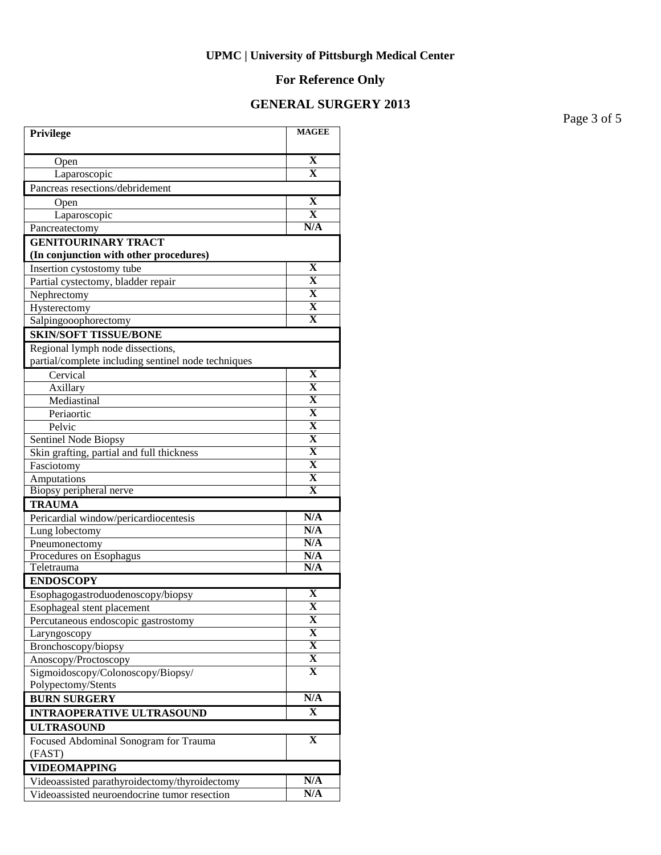# **For Reference Only**

### **GENERAL SURGERY 2013**

Page 3 of 5

| Privilege                                                            | <b>MAGEE</b>                 |
|----------------------------------------------------------------------|------------------------------|
|                                                                      | $\mathbf X$                  |
| Open                                                                 | $\overline{\textbf{X}}$      |
| Laparoscopic                                                         |                              |
| Pancreas resections/debridement                                      |                              |
| Open                                                                 | X<br>$\overline{\textbf{X}}$ |
| Laparoscopic                                                         | N/A                          |
| Pancreatectomy                                                       |                              |
| <b>GENITOURINARY TRACT</b><br>(In conjunction with other procedures) |                              |
| Insertion cystostomy tube                                            | X                            |
| Partial cystectomy, bladder repair                                   | $\mathbf X$                  |
| Nephrectomy                                                          | $\mathbf X$                  |
| Hysterectomy                                                         | $\mathbf X$                  |
| Salpingooophorectomy                                                 | $\mathbf X$                  |
| <b>SKIN/SOFT TISSUE/BONE</b>                                         |                              |
| Regional lymph node dissections,                                     |                              |
| partial/complete including sentinel node techniques                  |                              |
| Cervical                                                             | $\mathbf X$                  |
| Axillary                                                             | $\overline{\textbf{X}}$      |
| Mediastinal                                                          | $\overline{\mathbf{X}}$      |
| Periaortic                                                           | $\overline{\mathbf{X}}$      |
| Pelvic                                                               | $\overline{\mathbf{X}}$      |
| Sentinel Node Biopsy                                                 | $\overline{\mathbf{X}}$      |
| Skin grafting, partial and full thickness                            | $\overline{\mathbf{X}}$      |
| Fasciotomy                                                           | $\overline{\mathbf{X}}$      |
| Amputations                                                          | $\overline{\mathbf{X}}$      |
| Biopsy peripheral nerve                                              | $\overline{\mathbf{X}}$      |
| <b>TRAUMA</b>                                                        |                              |
| Pericardial window/pericardiocentesis                                | $\overline{\text{N/A}}$      |
| Lung lobectomy                                                       | N/A                          |
| Pneumonectomy                                                        | N/A                          |
| Procedures on Esophagus                                              | N/A                          |
| Teletrauma                                                           | N/A                          |
| <b>ENDOSCOPY</b>                                                     | X                            |
| Esophagogastroduodenoscopy/biopsy                                    | $\overline{\mathbf{X}}$      |
| Esophageal stent placement                                           | X                            |
| Percutaneous endoscopic gastrostomy                                  | X                            |
| Laryngoscopy<br>Bronchoscopy/biopsy                                  | $\overline{\mathbf{X}}$      |
| Anoscopy/Proctoscopy                                                 | X                            |
| Sigmoidoscopy/Colonoscopy/Biopsy/                                    | X                            |
| Polypectomy/Stents                                                   |                              |
| <b>BURN SURGERY</b>                                                  | N/A                          |
| <b>INTRAOPERATIVE ULTRASOUND</b>                                     | $\mathbf X$                  |
| <b>ULTRASOUND</b>                                                    |                              |
| Focused Abdominal Sonogram for Trauma                                | $\mathbf X$                  |
| (FAST)                                                               |                              |
| <b>VIDEOMAPPING</b>                                                  |                              |
| Videoassisted parathyroidectomy/thyroidectomy                        | N/A                          |
| Videoassisted neuroendocrine tumor resection                         | N/A                          |
|                                                                      |                              |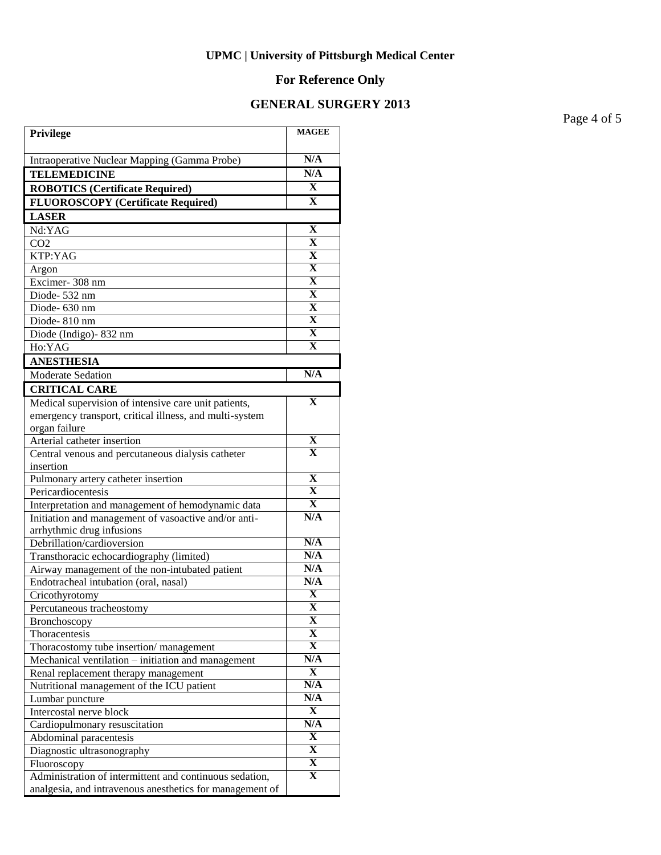# **For Reference Only**

### **GENERAL SURGERY 2013**

Page 4 of 5

| Privilege                                                                               | <b>MAGEE</b>            |
|-----------------------------------------------------------------------------------------|-------------------------|
| Intraoperative Nuclear Mapping (Gamma Probe)                                            | N/A                     |
| <b>TELEMEDICINE</b>                                                                     | N/A                     |
| <b>ROBOTICS (Certificate Required)</b>                                                  | X                       |
| <b>FLUOROSCOPY</b> (Certificate Required)                                               | $\mathbf{x}$            |
| <b>LASER</b>                                                                            |                         |
| Nd:YAG                                                                                  | $\mathbf X$             |
| CO <sub>2</sub>                                                                         | $\overline{\textbf{X}}$ |
| KTP:YAG                                                                                 | $\overline{\textbf{X}}$ |
| Argon                                                                                   | $\overline{\mathbf{X}}$ |
| Excimer-308 nm                                                                          | $\overline{\mathbf{X}}$ |
| Diode-532 nm                                                                            | $\overline{\mathbf{X}}$ |
| Diode-630 nm                                                                            | $\overline{\mathbf{X}}$ |
| Diode-810 nm                                                                            | $\overline{\textbf{X}}$ |
| Diode (Indigo) - 832 nm                                                                 | $\overline{\mathbf{X}}$ |
| Ho:YAG                                                                                  | $\overline{\mathbf{X}}$ |
| <b>ANESTHESIA</b>                                                                       |                         |
| <b>Moderate Sedation</b>                                                                | N/A                     |
| <b>CRITICAL CARE</b>                                                                    |                         |
| Medical supervision of intensive care unit patients,                                    | $\mathbf x$             |
| emergency transport, critical illness, and multi-system                                 |                         |
| organ failure                                                                           |                         |
| Arterial catheter insertion                                                             | X                       |
| Central venous and percutaneous dialysis catheter                                       | X                       |
| insertion                                                                               |                         |
| Pulmonary artery catheter insertion                                                     | $\mathbf X$             |
| Pericardiocentesis                                                                      | $\mathbf X$             |
| Interpretation and management of hemodynamic data                                       | $\mathbf X$             |
| Initiation and management of vasoactive and/or anti-                                    | N/A                     |
| arrhythmic drug infusions                                                               | N/A                     |
| Debrillation/cardioversion                                                              | N/A                     |
| Transthoracic echocardiography (limited)                                                | N/A                     |
| Airway management of the non-intubated patient<br>Endotracheal intubation (oral, nasal) | N/A                     |
| Cricothyrotomy                                                                          | $\mathbf X$             |
| Percutaneous tracheostomy                                                               | $\overline{\mathbf{X}}$ |
| Bronchoscopy                                                                            | X                       |
| Thoracentesis                                                                           | X                       |
| Thoracostomy tube insertion/management                                                  | X                       |
| Mechanical ventilation – initiation and management                                      | N/A                     |
| Renal replacement therapy management                                                    | X                       |
| Nutritional management of the ICU patient                                               | N/A                     |
| Lumbar puncture                                                                         | N/A                     |
| Intercostal nerve block                                                                 | X                       |
| Cardiopulmonary resuscitation                                                           | N/A                     |
| Abdominal paracentesis                                                                  | X                       |
| Diagnostic ultrasonography                                                              | X                       |
| Fluoroscopy                                                                             | X                       |
| Administration of intermittent and continuous sedation,                                 | X                       |
| analgesia, and intravenous anesthetics for management of                                |                         |